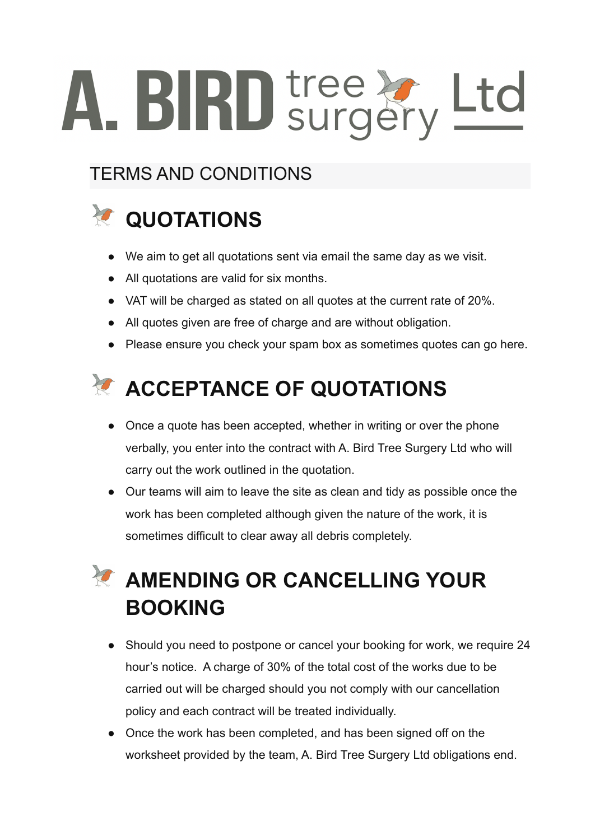# A. BIRD tree & Ltd

#### TERMS AND CONDITIONS

# *Z* QUOTATIONS

- We aim to get all quotations sent via email the same day as we visit.
- All quotations are valid for six months.
- VAT will be charged as stated on all quotes at the current rate of 20%.
- All quotes given are free of charge and are without obligation.
- Please ensure you check your spam box as sometimes quotes can go here.



- Once a quote has been accepted, whether in writing or over the phone verbally, you enter into the contract with A. Bird Tree Surgery Ltd who will carry out the work outlined in the quotation.
- Our teams will aim to leave the site as clean and tidy as possible once the work has been completed although given the nature of the work, it is sometimes difficult to clear away all debris completely.

## **AMENDING OR CANCELLING YOUR BOOKING**

- Should you need to postpone or cancel your booking for work, we require 24 hour's notice. A charge of 30% of the total cost of the works due to be carried out will be charged should you not comply with our cancellation policy and each contract will be treated individually.
- Once the work has been completed, and has been signed off on the worksheet provided by the team, A. Bird Tree Surgery Ltd obligations end.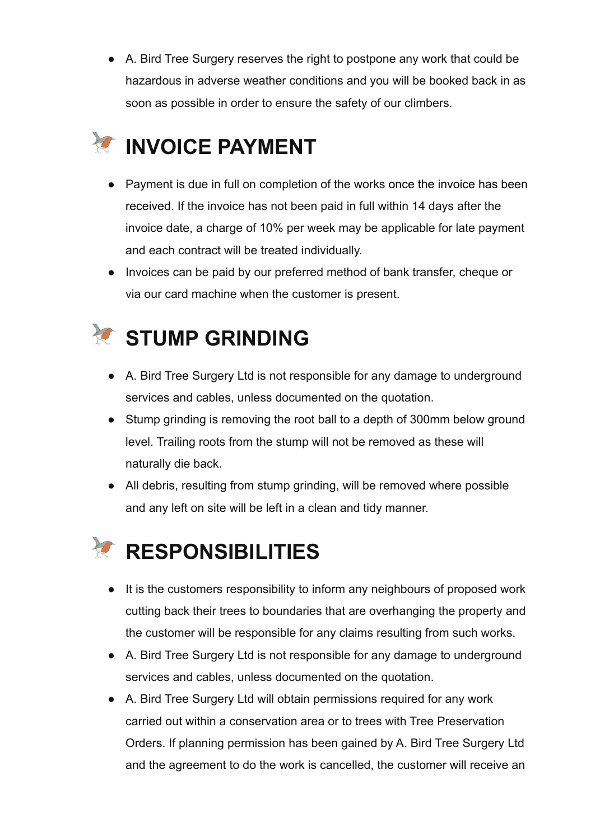● A. Bird Tree Surgery reserves the right to postpone any work that could be hazardous in adverse weather conditions and you will be booked back in as soon as possible in order to ensure the safety of our climbers.

# *E* INVOICE PAYMENT

- Payment is due in full on completion of the works once the invoice has been received. If the invoice has not been paid in full within 14 days after the invoice date, a charge of 10% per week may be applicable for late payment and each contract will be treated individually.
- Invoices can be paid by our preferred method of bank transfer, cheque or via our card machine when the customer is present.

#### **《CONDING**

- A. Bird Tree Surgery Ltd is not responsible for any damage to underground services and cables, unless documented on the quotation.
- Stump grinding is removing the root ball to a depth of 300mm below ground level. Trailing roots from the stump will not be removed as these will naturally die back.
- All debris, resulting from stump grinding, will be removed where possible and any left on site will be left in a clean and tidy manner.

### *<b>Z* RESPONSIBILITIES

- It is the customers responsibility to inform any neighbours of proposed work cutting back their trees to boundaries that are overhanging the property and the customer will be responsible for any claims resulting from such works.
- A. Bird Tree Surgery Ltd is not responsible for any damage to underground services and cables, unless documented on the quotation.
- A. Bird Tree Surgery Ltd will obtain permissions required for any work carried out within a conservation area or to trees with Tree Preservation Orders. If planning permission has been gained by A. Bird Tree Surgery Ltd and the agreement to do the work is cancelled, the customer will receive an